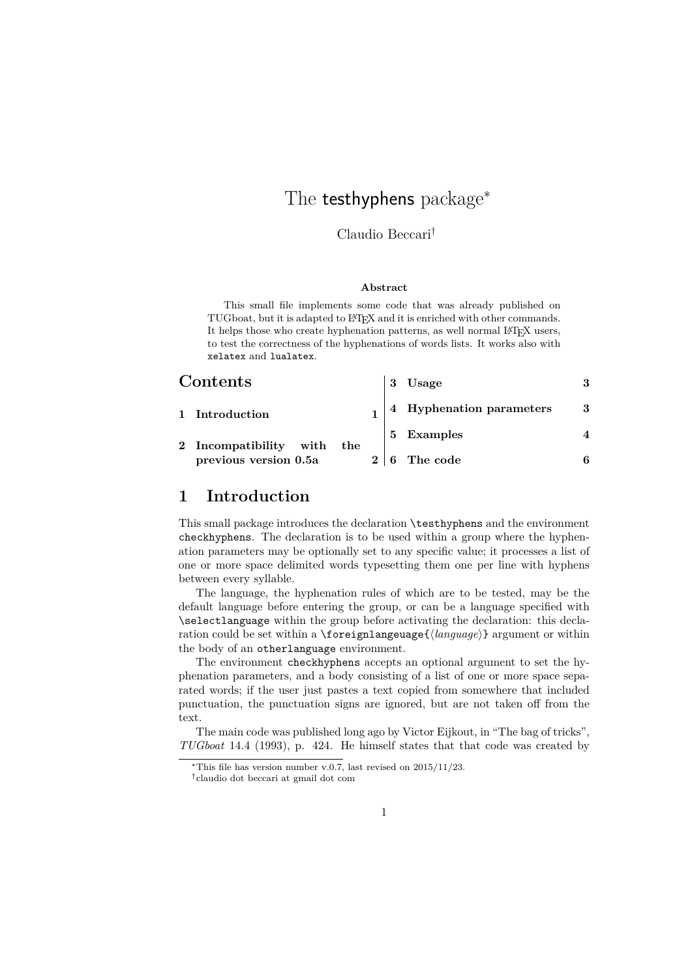# The **testhyphens** package<sup>\*</sup>

Claudio Beccari†

#### **Abstract**

This small file implements some code that was already published on TUGboat, but it is adapted to L<sup>A</sup>T<sub>E</sub>X and it is enriched with other commands. It helps those who create hyphenation patterns, as well normal L<sup>AT</sup>FX users, to test the correctness of the hyphenations of words lists. It works also with xelatex and lualatex.

|              | Contents                 | 3 | Usage                    |    |
|--------------|--------------------------|---|--------------------------|----|
|              | 1 Introduction           |   | 4 Hyphenation parameters | -3 |
| $\mathbf{2}$ | Incompatibility with the |   | 5 Examples               |    |
|              | previous version 0.5a    | 6 | The code                 | հ  |

# **1 Introduction**

This small package introduces the declaration \testhyphens and the environment checkhyphens. The declaration is to be used within a group where the hyphenation parameters may be optionally set to any specific value; it processes a list of one or more space delimited words typesetting them one per line with hyphens between every syllable.

The language, the hyphenation rules of which are to be tested, may be the default language before entering the group, or can be a language specified with \selectlanguage within the group before activating the declaration: this declaration could be set within a \foreignlangeuage{〈*language*〉} argument or within the body of an otherlanguage environment.

The environment checkhyphens accepts an optional argument to set the hyphenation parameters, and a body consisting of a list of one or more space separated words; if the user just pastes a text copied from somewhere that included punctuation, the punctuation signs are ignored, but are not taken off from the text.

The main code was published long ago by Victor Eijkout, in "The bag of tricks", *TUGboat* 14.4 (1993), p. 424. He himself states that that code was created by

<sup>\*</sup>This file has version number v.0.7, last revised on  $2015/11/23$ .

<sup>†</sup>claudio dot beccari at gmail dot com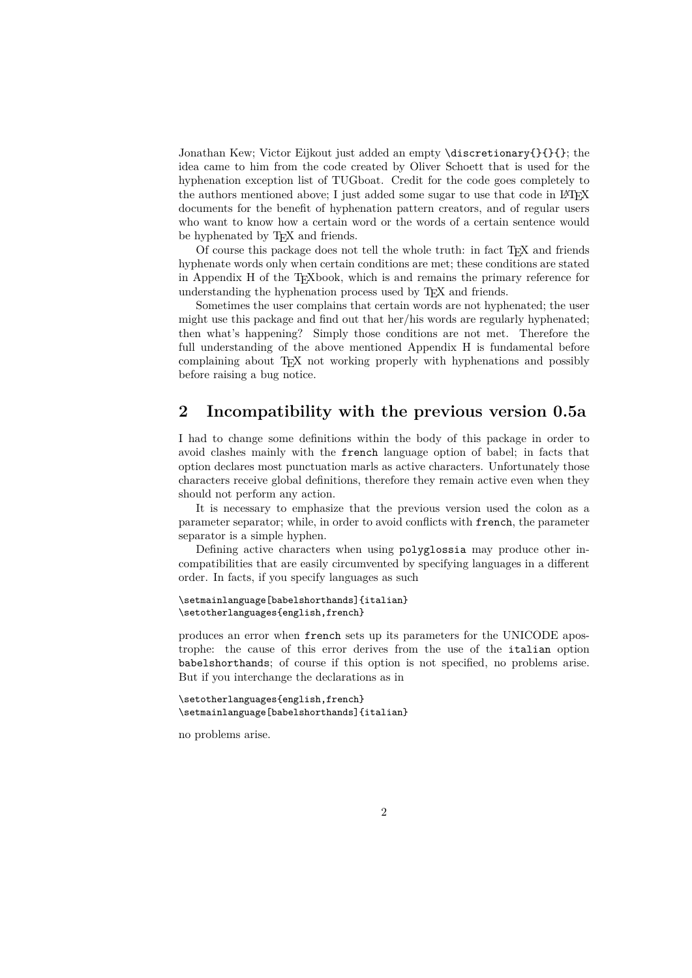Jonathan Kew; Victor Eijkout just added an empty \discretionary{}{}{}; the idea came to him from the code created by Oliver Schoett that is used for the hyphenation exception list of TUGboat. Credit for the code goes completely to the authors mentioned above; I just added some sugar to use that code in LAT<sub>EX</sub> documents for the benefit of hyphenation pattern creators, and of regular users who want to know how a certain word or the words of a certain sentence would be hyphenated by T<sub>E</sub>X and friends.

Of course this package does not tell the whole truth: in fact TEX and friends hyphenate words only when certain conditions are met; these conditions are stated in Appendix H of the TEXbook, which is and remains the primary reference for understanding the hyphenation process used by T<sub>E</sub>X and friends.

Sometimes the user complains that certain words are not hyphenated; the user might use this package and find out that her/his words are regularly hyphenated; then what's happening? Simply those conditions are not met. Therefore the full understanding of the above mentioned Appendix H is fundamental before complaining about TEX not working properly with hyphenations and possibly before raising a bug notice.

### **2 Incompatibility with the previous version 0.5a**

I had to change some definitions within the body of this package in order to avoid clashes mainly with the french language option of babel; in facts that option declares most punctuation marls as active characters. Unfortunately those characters receive global definitions, therefore they remain active even when they should not perform any action.

It is necessary to emphasize that the previous version used the colon as a parameter separator; while, in order to avoid conflicts with french, the parameter separator is a simple hyphen.

Defining active characters when using polyglossia may produce other incompatibilities that are easily circumvented by specifying languages in a different order. In facts, if you specify languages as such

```
\setmainlanguage[babelshorthands]{italian}
\setotherlanguages{english,french}
```
produces an error when french sets up its parameters for the UNICODE apostrophe: the cause of this error derives from the use of the italian option babelshorthands; of course if this option is not specified, no problems arise. But if you interchange the declarations as in

```
\setotherlanguages{english,french}
\setmainlanguage[babelshorthands]{italian}
```
no problems arise.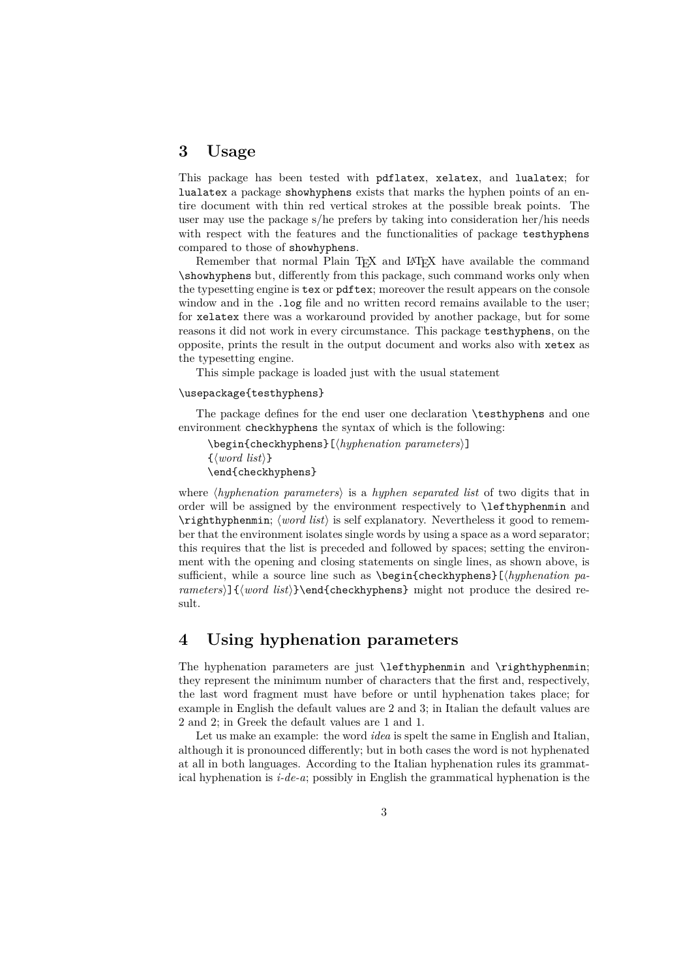## **3 Usage**

This package has been tested with pdflatex, xelatex, and lualatex; for lualatex a package showhyphens exists that marks the hyphen points of an entire document with thin red vertical strokes at the possible break points. The user may use the package s/he prefers by taking into consideration her/his needs with respect with the features and the functionalities of package testhyphens compared to those of showhyphens.

Remember that normal Plain T<sub>EX</sub> and LAT<sub>EX</sub> have available the command \showhyphens but, differently from this package, such command works only when the typesetting engine is tex or pdftex; moreover the result appears on the console window and in the .log file and no written record remains available to the user: for xelatex there was a workaround provided by another package, but for some reasons it did not work in every circumstance. This package testhyphens, on the opposite, prints the result in the output document and works also with xetex as the typesetting engine.

This simple package is loaded just with the usual statement

#### \usepackage{testhyphens}

The package defines for the end user one declaration \testhyphens and one environment checkhyphens the syntax of which is the following:

\begin{checkhyphens}[〈*hyphenation parameters*〉] {〈*word list*〉} \end{checkhyphens}

where 〈*hyphenation parameters*〉 is a *hyphen separated list* of two digits that in order will be assigned by the environment respectively to \lefthyphenmin and \righthyphenmin; 〈*word list*〉 is self explanatory. Nevertheless it good to remember that the environment isolates single words by using a space as a word separator; this requires that the list is preceded and followed by spaces; setting the environment with the opening and closing statements on single lines, as shown above, is sufficient, while a source line such as \begin{checkhyphens}[〈*hyphenation parameters*〉]{〈*word list*〉}\end{checkhyphens} might not produce the desired result.

# **4 Using hyphenation parameters**

The hyphenation parameters are just \lefthyphenmin and \righthyphenmin; they represent the minimum number of characters that the first and, respectively, the last word fragment must have before or until hyphenation takes place; for example in English the default values are 2 and 3; in Italian the default values are 2 and 2; in Greek the default values are 1 and 1.

Let us make an example: the word *idea* is spelt the same in English and Italian, although it is pronounced differently; but in both cases the word is not hyphenated at all in both languages. According to the Italian hyphenation rules its grammatical hyphenation is *i-de-a*; possibly in English the grammatical hyphenation is the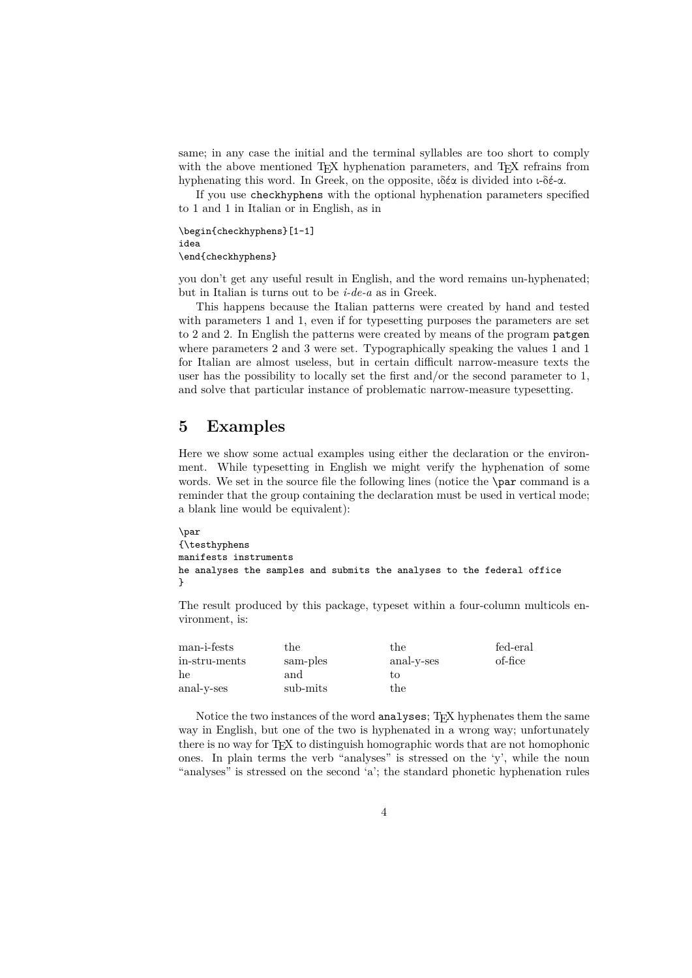same; in any case the initial and the terminal syllables are too short to comply with the above mentioned TEX hyphenation parameters, and TEX refrains from hyphenating this word. In Greek, on the opposite, ιδέα is divided into ι-δέ-α.

If you use checkhyphens with the optional hyphenation parameters specified to 1 and 1 in Italian or in English, as in

```
\begin{checkhyphens}[1-1]
idea
\end{checkhyphens}
```
you don't get any useful result in English, and the word remains un-hyphenated; but in Italian is turns out to be *i-de-a* as in Greek.

This happens because the Italian patterns were created by hand and tested with parameters 1 and 1, even if for typesetting purposes the parameters are set to 2 and 2. In English the patterns were created by means of the program patgen where parameters 2 and 3 were set. Typographically speaking the values 1 and 1 for Italian are almost useless, but in certain difficult narrow-measure texts the user has the possibility to locally set the first and/or the second parameter to 1, and solve that particular instance of problematic narrow-measure typesetting.

### **5 Examples**

Here we show some actual examples using either the declaration or the environment. While typesetting in English we might verify the hyphenation of some words. We set in the source file the following lines (notice the **\par** command is a reminder that the group containing the declaration must be used in vertical mode; a blank line would be equivalent):

```
\par
{\testhyphens
manifests instruments
he analyses the samples and submits the analyses to the federal office
}
```
The result produced by this package, typeset within a four-column multicols environment, is:

| $man$ -i-fests | the      | the        | fed-eral |
|----------------|----------|------------|----------|
| in-stru-ments  | sam-ples | anal-y-ses | of-fice  |
| he             | and      | tο         |          |
| anal-v-ses     | sub-mits | the        |          |

Notice the two instances of the word analyses; T<sub>E</sub>X hyphenates them the same way in English, but one of the two is hyphenated in a wrong way; unfortunately there is no way for TEX to distinguish homographic words that are not homophonic ones. In plain terms the verb "analyses" is stressed on the 'y', while the noun "analyses" is stressed on the second 'a'; the standard phonetic hyphenation rules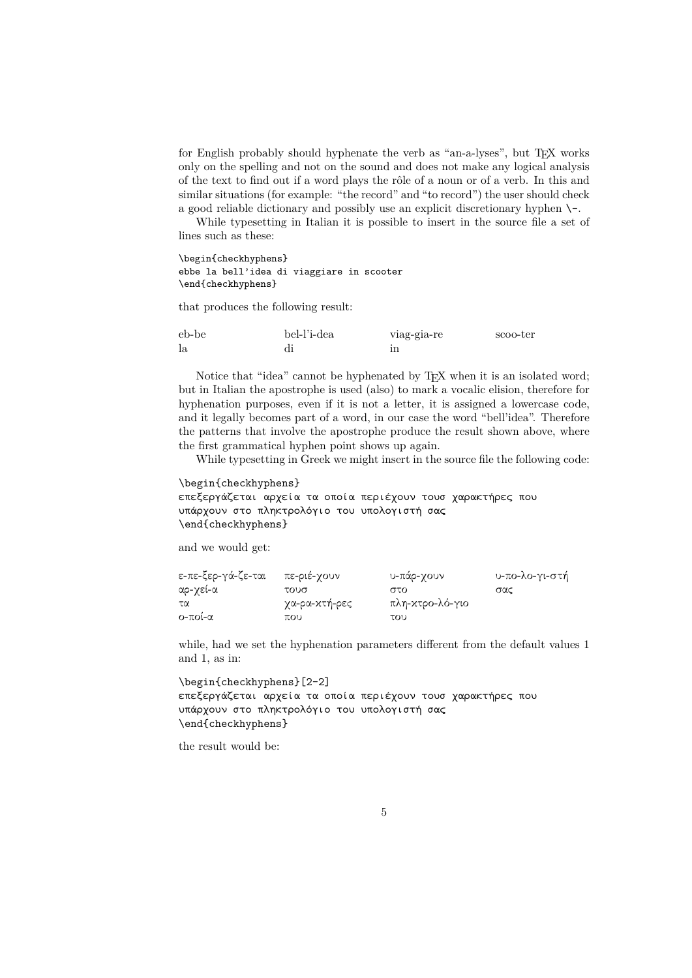for English probably should hyphenate the verb as "an-a-lyses", but TEX works only on the spelling and not on the sound and does not make any logical analysis of the text to find out if a word plays the rôle of a noun or of a verb. In this and similar situations (for example: "the record" and "to record") the user should check a good reliable dictionary and possibly use an explicit discretionary hyphen \-.

While typesetting in Italian it is possible to insert in the source file a set of lines such as these:

\begin{checkhyphens} ebbe la bell'idea di viaggiare in scooter \end{checkhyphens}

that produces the following result:

| eb-be | bel-l'i-dea | viag-gia-re | scoo-ter |
|-------|-------------|-------------|----------|
| 1a    |             |             |          |

Notice that "idea" cannot be hyphenated by T<sub>E</sub>X when it is an isolated word; but in Italian the apostrophe is used (also) to mark a vocalic elision, therefore for hyphenation purposes, even if it is not a letter, it is assigned a lowercase code, and it legally becomes part of a word, in our case the word "bell'idea". Therefore the patterns that involve the apostrophe produce the result shown above, where the first grammatical hyphen point shows up again.

While typesetting in Greek we might insert in the source file the following code:

```
\begin{checkhyphens}
επεξεργάζεται αρχεία τα οποία περιέχουν τουσ χαρακτήρες που
υπάρχουν στο πληκτρολόγιο του υπολογιστή σας
\end{checkhyphens}
```
and we would get:

| ε-πε-ξερ-γά-ζε-ται | πε-ριέ-γουν   | υ-πάρ-γουν      | υ-πο-λο-γι-στή |
|--------------------|---------------|-----------------|----------------|
| αρ-γεί-α           | τουσ          | στο             | σας            |
| τα                 | χα-ρα-χτή-ρες | πλη-κτρο-λό-γιο |                |
| $O$ -ποί-α         | που           | του             |                |

while, had we set the hyphenation parameters different from the default values 1 and 1, as in:

```
\begin{checkhyphens}[2-2]
επεξεργάζεται αρχεία τα οποία περιέχουν τουσ χαρακτήρες που
υπάρχουν στο πληκτρολόγιο του υπολογιστή σας
\end{checkhyphens}
```
the result would be: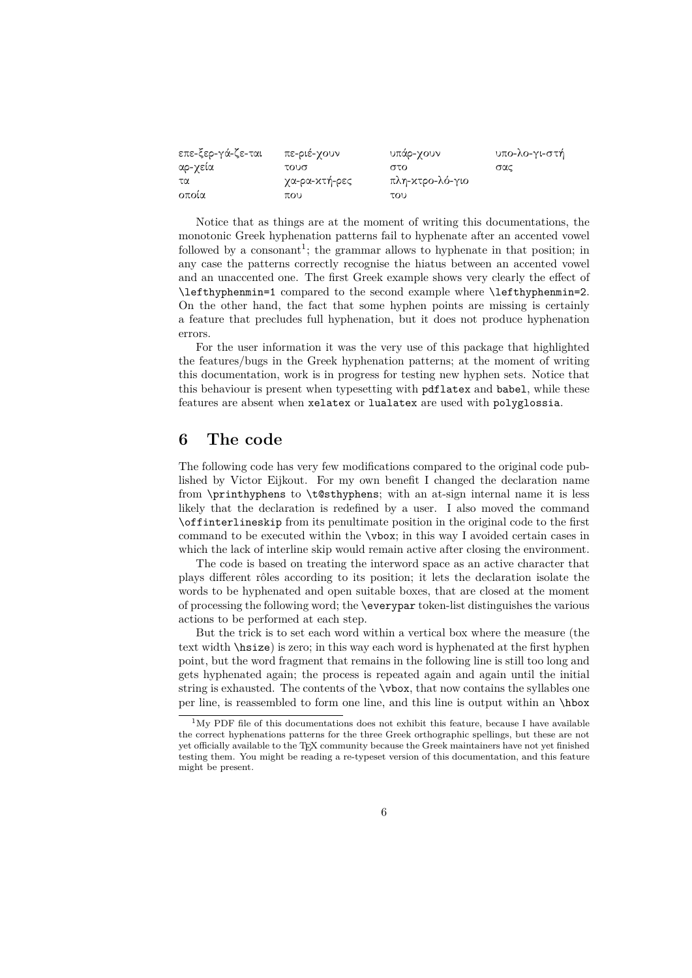| επε-ξερ-γά-ζε-ται | πε-ριέ-χουν   | υπάρ-γουν       | υπο-λο-γι-στή |
|-------------------|---------------|-----------------|---------------|
| αρ-γεία           | τουσ          | στο             | σας           |
| τα                | χα-ρα-χτή-ρες | πλη-κτρο-λό-γιο |               |
| οποία             | που           | του             |               |

Notice that as things are at the moment of writing this documentations, the monotonic Greek hyphenation patterns fail to hyphenate after an accented vowel followed by a consonant<sup>1</sup>; the grammar allows to hyphenate in that position; in any case the patterns correctly recognise the hiatus between an accented vowel and an unaccented one. The first Greek example shows very clearly the effect of \lefthyphenmin=1 compared to the second example where \lefthyphenmin=2. On the other hand, the fact that some hyphen points are missing is certainly a feature that precludes full hyphenation, but it does not produce hyphenation errors.

For the user information it was the very use of this package that highlighted the features/bugs in the Greek hyphenation patterns; at the moment of writing this documentation, work is in progress for testing new hyphen sets. Notice that this behaviour is present when typesetting with pdflatex and babel, while these features are absent when xelatex or lualatex are used with polyglossia.

#### **6 The code**

The following code has very few modifications compared to the original code published by Victor Eijkout. For my own benefit I changed the declaration name from \printhyphens to \t@sthyphens; with an at-sign internal name it is less likely that the declaration is redefined by a user. I also moved the command \offinterlineskip from its penultimate position in the original code to the first command to be executed within the \vbox; in this way I avoided certain cases in which the lack of interline skip would remain active after closing the environment.

The code is based on treating the interword space as an active character that plays different rôles according to its position; it lets the declaration isolate the words to be hyphenated and open suitable boxes, that are closed at the moment of processing the following word; the \everypar token-list distinguishes the various actions to be performed at each step.

But the trick is to set each word within a vertical box where the measure (the text width \hsize) is zero; in this way each word is hyphenated at the first hyphen point, but the word fragment that remains in the following line is still too long and gets hyphenated again; the process is repeated again and again until the initial string is exhausted. The contents of the \vbox, that now contains the syllables one per line, is reassembled to form one line, and this line is output within an \hbox

<sup>&</sup>lt;sup>1</sup>My PDF file of this documentations does not exhibit this feature, because I have available the correct hyphenations patterns for the three Greek orthographic spellings, but these are not yet officially available to the TEX community because the Greek maintainers have not yet finished testing them. You might be reading a re-typeset version of this documentation, and this feature might be present.